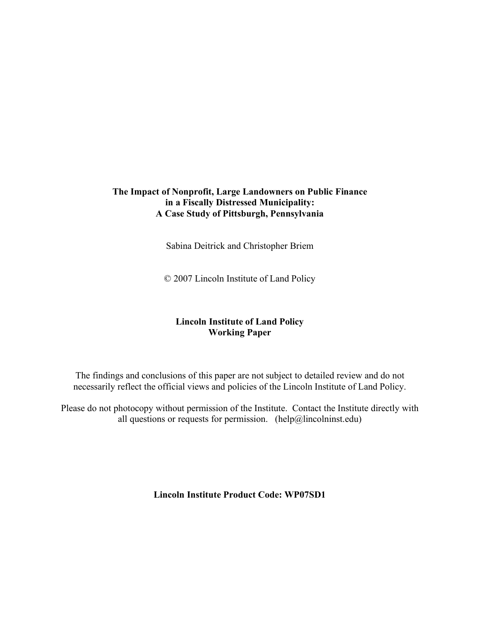# **The Impact of Nonprofit, Large Landowners on Public Finance in a Fiscally Distressed Municipality: A Case Study of Pittsburgh, Pennsylvania**

Sabina Deitrick and Christopher Briem

© 2007 Lincoln Institute of Land Policy

# **Lincoln Institute of Land Policy Working Paper**

The findings and conclusions of this paper are not subject to detailed review and do not necessarily reflect the official views and policies of the Lincoln Institute of Land Policy.

Please do not photocopy without permission of the Institute. Contact the Institute directly with all questions or requests for permission. (help $@$ lincolninst.edu)

**Lincoln Institute Product Code: WP07SD1**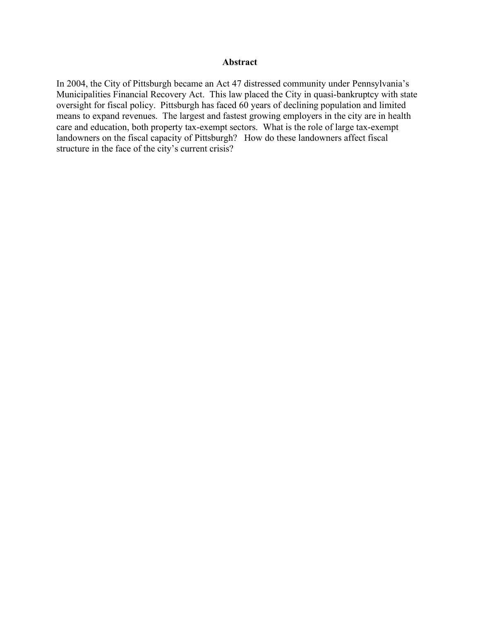#### **Abstract**

In 2004, the City of Pittsburgh became an Act 47 distressed community under Pennsylvania's Municipalities Financial Recovery Act. This law placed the City in quasi-bankruptcy with state oversight for fiscal policy. Pittsburgh has faced 60 years of declining population and limited means to expand revenues. The largest and fastest growing employers in the city are in health care and education, both property tax-exempt sectors. What is the role of large tax-exempt landowners on the fiscal capacity of Pittsburgh? How do these landowners affect fiscal structure in the face of the city's current crisis?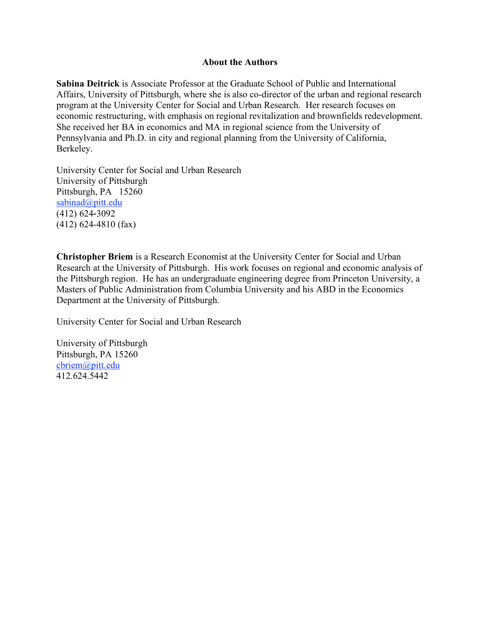#### **About the Authors**

**Sabina Deitrick** is Associate Professor at the Graduate School of Public and International Affairs, University of Pittsburgh, where she is also co-director of the urban and regional research program at the University Center for Social and Urban Research. Her research focuses on economic restructuring, with emphasis on regional revitalization and brownfields redevelopment. She received her BA in economics and MA in regional science from the University of Pennsylvania and Ph.D. in city and regional planning from the University of California, Berkeley.

University Center for Social and Urban Research University of Pittsburgh Pittsburgh, PA 15260 sabinad@pitt.edu (412) 624-3092 (412) 624-4810 (fax)

**Christopher Briem** is a Research Economist at the University Center for Social and Urban Research at the University of Pittsburgh. His work focuses on regional and economic analysis of the Pittsburgh region. He has an undergraduate engineering degree from Princeton University, a Masters of Public Administration from Columbia University and his ABD in the Economics Department at the University of Pittsburgh.

University Center for Social and Urban Research

University of Pittsburgh Pittsburgh, PA 15260 cbriem@pitt.edu 412.624.5442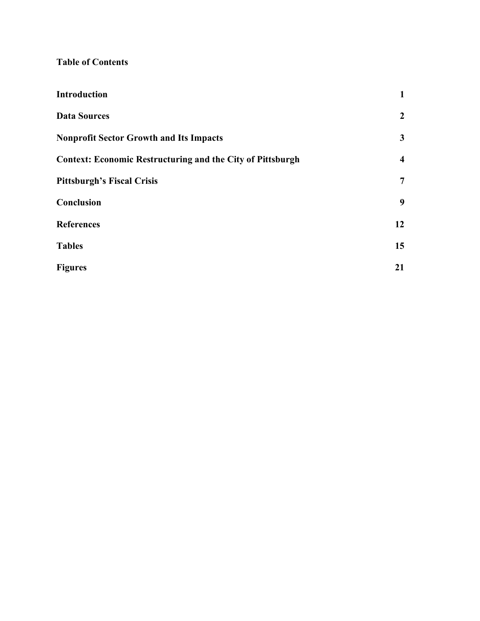# **Table of Contents**

| <b>Introduction</b>                                               | $\mathbf{1}$            |
|-------------------------------------------------------------------|-------------------------|
| <b>Data Sources</b>                                               | $\overline{2}$          |
| <b>Nonprofit Sector Growth and Its Impacts</b>                    | $\mathbf{3}$            |
| <b>Context: Economic Restructuring and the City of Pittsburgh</b> | $\overline{\mathbf{4}}$ |
| <b>Pittsburgh's Fiscal Crisis</b>                                 | 7                       |
| Conclusion                                                        | 9                       |
| <b>References</b>                                                 | 12                      |
| <b>Tables</b>                                                     | 15                      |
| <b>Figures</b>                                                    | 21                      |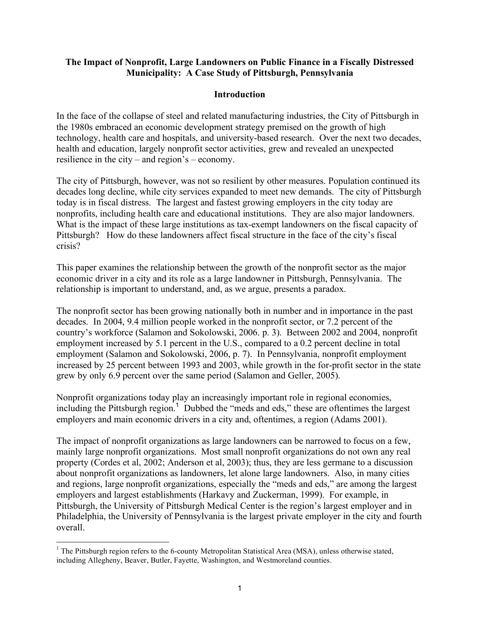## **The Impact of Nonprofit, Large Landowners on Public Finance in a Fiscally Distressed Municipality: A Case Study of Pittsburgh, Pennsylvania**

## **Introduction**

In the face of the collapse of steel and related manufacturing industries, the City of Pittsburgh in the 1980s embraced an economic development strategy premised on the growth of high technology, health care and hospitals, and university-based research. Over the next two decades, health and education, largely nonprofit sector activities, grew and revealed an unexpected resilience in the city – and region's – economy.

The city of Pittsburgh, however, was not so resilient by other measures. Population continued its decades long decline, while city services expanded to meet new demands. The city of Pittsburgh today is in fiscal distress. The largest and fastest growing employers in the city today are nonprofits, including health care and educational institutions. They are also major landowners. What is the impact of these large institutions as tax-exempt landowners on the fiscal capacity of Pittsburgh? How do these landowners affect fiscal structure in the face of the city's fiscal crisis?

This paper examines the relationship between the growth of the nonprofit sector as the major economic driver in a city and its role as a large landowner in Pittsburgh, Pennsylvania. The relationship is important to understand, and, as we argue, presents a paradox.

The nonprofit sector has been growing nationally both in number and in importance in the past decades. In 2004, 9.4 million people worked in the nonprofit sector, or 7.2 percent of the country's workforce (Salamon and Sokolowski, 2006. p. 3). Between 2002 and 2004, nonprofit employment increased by 5.1 percent in the U.S., compared to a 0.2 percent decline in total employment (Salamon and Sokolowski, 2006, p. 7). In Pennsylvania, nonprofit employment increased by 25 percent between 1993 and 2003, while growth in the for-profit sector in the state grew by only 6.9 percent over the same period (Salamon and Geller, 2005).

Nonprofit organizations today play an increasingly important role in regional economies, including the Pittsburgh region.<sup>1</sup> Dubbed the "meds and eds," these are oftentimes the largest employers and main economic drivers in a city and, oftentimes, a region (Adams 2001).

The impact of nonprofit organizations as large landowners can be narrowed to focus on a few, mainly large nonprofit organizations. Most small nonprofit organizations do not own any real property (Cordes et al, 2002; Anderson et al, 2003); thus, they are less germane to a discussion about nonprofit organizations as landowners, let alone large landowners. Also, in many cities and regions, large nonprofit organizations, especially the "meds and eds," are among the largest employers and largest establishments (Harkavy and Zuckerman, 1999). For example, in Pittsburgh, the University of Pittsburgh Medical Center is the region's largest employer and in Philadelphia, the University of Pennsylvania is the largest private employer in the city and fourth overall.

 $\frac{1}{1}$ <sup>1</sup> The Pittsburgh region refers to the 6-county Metropolitan Statistical Area (MSA), unless otherwise stated, including Allegheny, Beaver, Butler, Fayette, Washington, and Westmoreland counties.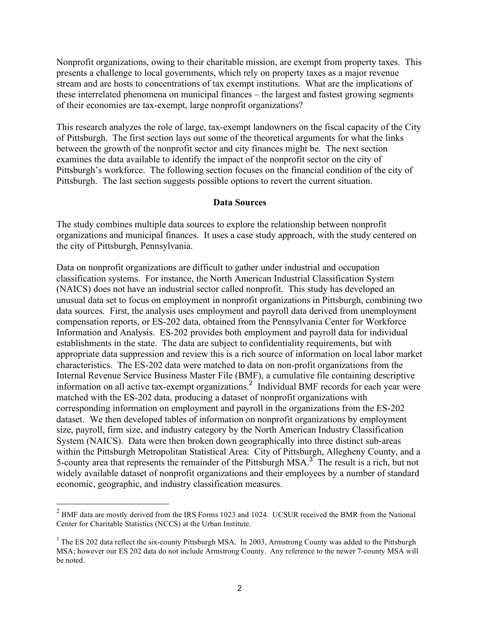Nonprofit organizations, owing to their charitable mission, are exempt from property taxes. This presents a challenge to local governments, which rely on property taxes as a major revenue stream and are hosts to concentrations of tax exempt institutions. What are the implications of these interrelated phenomena on municipal finances – the largest and fastest growing segments of their economies are tax-exempt, large nonprofit organizations?

This research analyzes the role of large, tax-exempt landowners on the fiscal capacity of the City of Pittsburgh. The first section lays out some of the theoretical arguments for what the links between the growth of the nonprofit sector and city finances might be. The next section examines the data available to identify the impact of the nonprofit sector on the city of Pittsburgh's workforce. The following section focuses on the financial condition of the city of Pittsburgh. The last section suggests possible options to revert the current situation.

#### **Data Sources**

The study combines multiple data sources to explore the relationship between nonprofit organizations and municipal finances. It uses a case study approach, with the study centered on the city of Pittsburgh, Pennsylvania.

Data on nonprofit organizations are difficult to gather under industrial and occupation classification systems. For instance, the North American Industrial Classification System (NAICS) does not have an industrial sector called nonprofit. This study has developed an unusual data set to focus on employment in nonprofit organizations in Pittsburgh, combining two data sources. First, the analysis uses employment and payroll data derived from unemployment compensation reports, or ES-202 data, obtained from the Pennsylvania Center for Workforce Information and Analysis. ES-202 provides both employment and payroll data for individual establishments in the state. The data are subject to confidentiality requirements, but with appropriate data suppression and review this is a rich source of information on local labor market characteristics. The ES-202 data were matched to data on non-profit organizations from the Internal Revenue Service Business Master File (BMF), a cumulative file containing descriptive information on all active tax-exempt organizations.<sup>2</sup> Individual BMF records for each year were matched with the ES-202 data, producing a dataset of nonprofit organizations with corresponding information on employment and payroll in the organizations from the ES-202 dataset. We then developed tables of information on nonprofit organizations by employment size, payroll, firm size, and industry category by the North American Industry Classification System (NAICS). Data were then broken down geographically into three distinct sub-areas within the Pittsburgh Metropolitan Statistical Area: City of Pittsburgh, Allegheny County, and a 5-county area that represents the remainder of the Pittsburgh MSA.<sup>3</sup> The result is a rich, but not widely available dataset of nonprofit organizations and their employees by a number of standard economic, geographic, and industry classification measures.

<sup>&</sup>lt;sup>2</sup> BMF data are mostly derived from the IRS Forms 1023 and 1024. UCSUR received the BMR from the National <sup>2</sup> Center for Charitable Statistics (NCCS) at the Urban Institute.

 $3$  The ES 202 data reflect the six-county Pittsburgh MSA. In 2003, Armstrong County was added to the Pittsburgh MSA; however our ES 202 data do not include Armstrong County. Any reference to the newer 7-county MSA will be noted.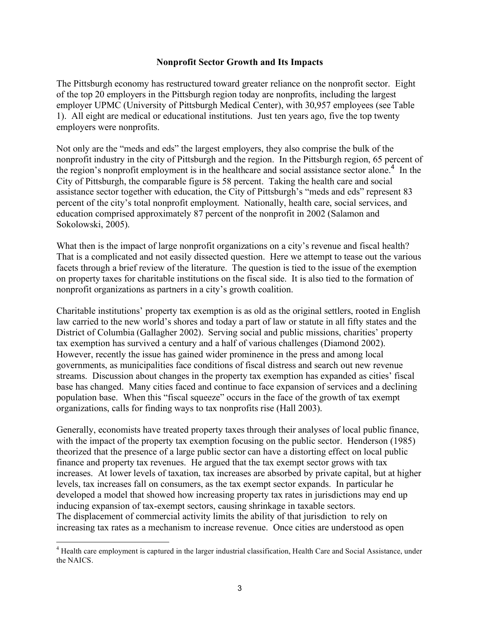#### **Nonprofit Sector Growth and Its Impacts**

The Pittsburgh economy has restructured toward greater reliance on the nonprofit sector. Eight of the top 20 employers in the Pittsburgh region today are nonprofits, including the largest employer UPMC (University of Pittsburgh Medical Center), with 30,957 employees (see Table 1). All eight are medical or educational institutions. Just ten years ago, five the top twenty employers were nonprofits.

Not only are the "meds and eds" the largest employers, they also comprise the bulk of the nonprofit industry in the city of Pittsburgh and the region. In the Pittsburgh region, 65 percent of the region's nonprofit employment is in the healthcare and social assistance sector alone.<sup>4</sup> In the City of Pittsburgh, the comparable figure is 58 percent. Taking the health care and social assistance sector together with education, the City of Pittsburgh's "meds and eds" represent 83 percent of the city's total nonprofit employment. Nationally, health care, social services, and education comprised approximately 87 percent of the nonprofit in 2002 (Salamon and Sokolowski, 2005).

What then is the impact of large nonprofit organizations on a city's revenue and fiscal health? That is a complicated and not easily dissected question. Here we attempt to tease out the various facets through a brief review of the literature. The question is tied to the issue of the exemption on property taxes for charitable institutions on the fiscal side. It is also tied to the formation of nonprofit organizations as partners in a city's growth coalition.

Charitable institutions' property tax exemption is as old as the original settlers, rooted in English law carried to the new world's shores and today a part of law or statute in all fifty states and the District of Columbia (Gallagher 2002). Serving social and public missions, charities' property tax exemption has survived a century and a half of various challenges (Diamond 2002). However, recently the issue has gained wider prominence in the press and among local governments, as municipalities face conditions of fiscal distress and search out new revenue streams. Discussion about changes in the property tax exemption has expanded as cities' fiscal base has changed. Many cities faced and continue to face expansion of services and a declining population base. When this "fiscal squeeze" occurs in the face of the growth of tax exempt organizations, calls for finding ways to tax nonprofits rise (Hall 2003).

Generally, economists have treated property taxes through their analyses of local public finance, with the impact of the property tax exemption focusing on the public sector. Henderson (1985) theorized that the presence of a large public sector can have a distorting effect on local public finance and property tax revenues. He argued that the tax exempt sector grows with tax increases. At lower levels of taxation, tax increases are absorbed by private capital, but at higher levels, tax increases fall on consumers, as the tax exempt sector expands. In particular he developed a model that showed how increasing property tax rates in jurisdictions may end up inducing expansion of tax-exempt sectors, causing shrinkage in taxable sectors. The displacement of commercial activity limits the ability of that jurisdiction to rely on increasing tax rates as a mechanism to increase revenue. Once cities are understood as open

 $\frac{1}{4}$ <sup>4</sup> Health care employment is captured in the larger industrial classification, Health Care and Social Assistance, under the NAICS.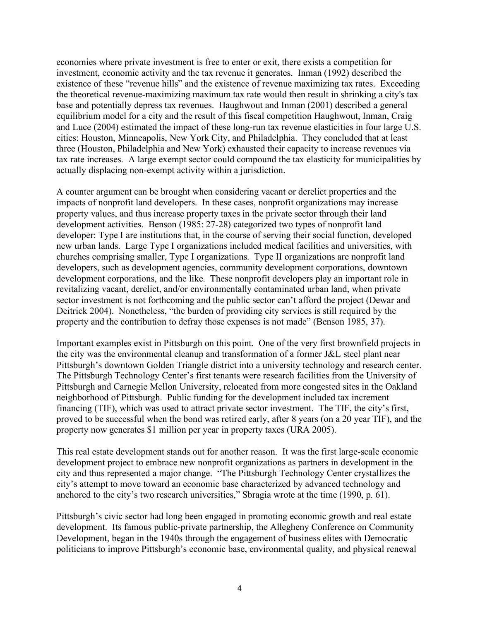economies where private investment is free to enter or exit, there exists a competition for investment, economic activity and the tax revenue it generates. Inman (1992) described the existence of these "revenue hills" and the existence of revenue maximizing tax rates. Exceeding the theoretical revenue-maximizing maximum tax rate would then result in shrinking a city's tax base and potentially depress tax revenues. Haughwout and Inman (2001) described a general equilibrium model for a city and the result of this fiscal competition Haughwout, Inman, Craig and Luce (2004) estimated the impact of these long-run tax revenue elasticities in four large U.S. cities: Houston, Minneapolis, New York City, and Philadelphia. They concluded that at least three (Houston, Philadelphia and New York) exhausted their capacity to increase revenues via tax rate increases. A large exempt sector could compound the tax elasticity for municipalities by actually displacing non-exempt activity within a jurisdiction.

A counter argument can be brought when considering vacant or derelict properties and the impacts of nonprofit land developers. In these cases, nonprofit organizations may increase property values, and thus increase property taxes in the private sector through their land development activities. Benson (1985: 27-28) categorized two types of nonprofit land developer: Type I are institutions that, in the course of serving their social function, developed new urban lands. Large Type I organizations included medical facilities and universities, with churches comprising smaller, Type I organizations. Type II organizations are nonprofit land developers, such as development agencies, community development corporations, downtown development corporations, and the like. These nonprofit developers play an important role in revitalizing vacant, derelict, and/or environmentally contaminated urban land, when private sector investment is not forthcoming and the public sector can't afford the project (Dewar and Deitrick 2004). Nonetheless, "the burden of providing city services is still required by the property and the contribution to defray those expenses is not made" (Benson 1985, 37).

Important examples exist in Pittsburgh on this point. One of the very first brownfield projects in the city was the environmental cleanup and transformation of a former J&L steel plant near Pittsburgh's downtown Golden Triangle district into a university technology and research center. The Pittsburgh Technology Center's first tenants were research facilities from the University of Pittsburgh and Carnegie Mellon University, relocated from more congested sites in the Oakland neighborhood of Pittsburgh. Public funding for the development included tax increment financing (TIF), which was used to attract private sector investment. The TIF, the city's first, proved to be successful when the bond was retired early, after 8 years (on a 20 year TIF), and the property now generates \$1 million per year in property taxes (URA 2005).

This real estate development stands out for another reason. It was the first large-scale economic development project to embrace new nonprofit organizations as partners in development in the city and thus represented a major change. "The Pittsburgh Technology Center crystallizes the city's attempt to move toward an economic base characterized by advanced technology and anchored to the city's two research universities," Sbragia wrote at the time (1990, p. 61).

Pittsburgh's civic sector had long been engaged in promoting economic growth and real estate development. Its famous public-private partnership, the Allegheny Conference on Community Development, began in the 1940s through the engagement of business elites with Democratic politicians to improve Pittsburgh's economic base, environmental quality, and physical renewal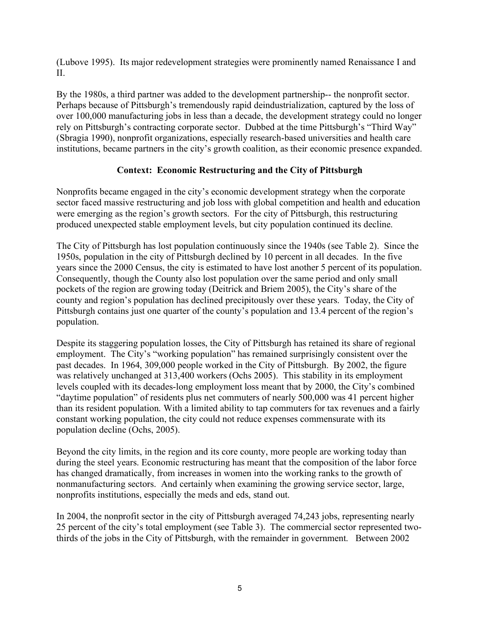(Lubove 1995). Its major redevelopment strategies were prominently named Renaissance I and  $II$ .

By the 1980s, a third partner was added to the development partnership-- the nonprofit sector. Perhaps because of Pittsburgh's tremendously rapid deindustrialization, captured by the loss of over 100,000 manufacturing jobs in less than a decade, the development strategy could no longer rely on Pittsburgh's contracting corporate sector. Dubbed at the time Pittsburgh's "Third Way" (Sbragia 1990), nonprofit organizations, especially research-based universities and health care institutions, became partners in the city's growth coalition, as their economic presence expanded.

# **Context: Economic Restructuring and the City of Pittsburgh**

Nonprofits became engaged in the city's economic development strategy when the corporate sector faced massive restructuring and job loss with global competition and health and education were emerging as the region's growth sectors. For the city of Pittsburgh, this restructuring produced unexpected stable employment levels, but city population continued its decline.

The City of Pittsburgh has lost population continuously since the 1940s (see Table 2). Since the 1950s, population in the city of Pittsburgh declined by 10 percent in all decades. In the five years since the 2000 Census, the city is estimated to have lost another 5 percent of its population. Consequently, though the County also lost population over the same period and only small pockets of the region are growing today (Deitrick and Briem 2005), the City's share of the county and region's population has declined precipitously over these years. Today, the City of Pittsburgh contains just one quarter of the county's population and 13.4 percent of the region's population.

Despite its staggering population losses, the City of Pittsburgh has retained its share of regional employment. The City's "working population" has remained surprisingly consistent over the past decades. In 1964, 309,000 people worked in the City of Pittsburgh. By 2002, the figure was relatively unchanged at 313,400 workers (Ochs 2005). This stability in its employment levels coupled with its decades-long employment loss meant that by 2000, the City's combined "daytime population" of residents plus net commuters of nearly 500,000 was 41 percent higher than its resident population. With a limited ability to tap commuters for tax revenues and a fairly constant working population, the city could not reduce expenses commensurate with its population decline (Ochs, 2005).

Beyond the city limits, in the region and its core county, more people are working today than during the steel years. Economic restructuring has meant that the composition of the labor force has changed dramatically, from increases in women into the working ranks to the growth of nonmanufacturing sectors. And certainly when examining the growing service sector, large, nonprofits institutions, especially the meds and eds, stand out.

In 2004, the nonprofit sector in the city of Pittsburgh averaged 74,243 jobs, representing nearly 25 percent of the city's total employment (see Table 3). The commercial sector represented twothirds of the jobs in the City of Pittsburgh, with the remainder in government. Between 2002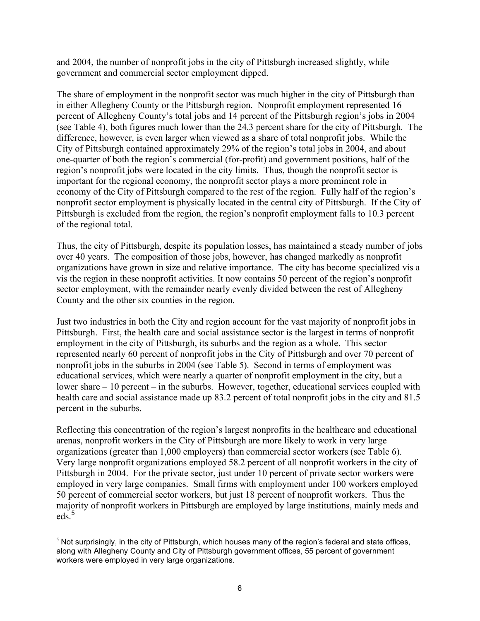and 2004, the number of nonprofit jobs in the city of Pittsburgh increased slightly, while government and commercial sector employment dipped.

The share of employment in the nonprofit sector was much higher in the city of Pittsburgh than in either Allegheny County or the Pittsburgh region. Nonprofit employment represented 16 percent of Allegheny County's total jobs and 14 percent of the Pittsburgh region's jobs in 2004 (see Table 4), both figures much lower than the 24.3 percent share for the city of Pittsburgh. The difference, however, is even larger when viewed as a share of total nonprofit jobs. While the City of Pittsburgh contained approximately 29% of the region's total jobs in 2004, and about one-quarter of both the region's commercial (for-profit) and government positions, half of the region's nonprofit jobs were located in the city limits. Thus, though the nonprofit sector is important for the regional economy, the nonprofit sector plays a more prominent role in economy of the City of Pittsburgh compared to the rest of the region. Fully half of the region's nonprofit sector employment is physically located in the central city of Pittsburgh. If the City of Pittsburgh is excluded from the region, the region's nonprofit employment falls to 10.3 percent of the regional total.

Thus, the city of Pittsburgh, despite its population losses, has maintained a steady number of jobs over 40 years. The composition of those jobs, however, has changed markedly as nonprofit organizations have grown in size and relative importance. The city has become specialized vis a vis the region in these nonprofit activities. It now contains 50 percent of the region's nonprofit sector employment, with the remainder nearly evenly divided between the rest of Allegheny County and the other six counties in the region.

Just two industries in both the City and region account for the vast majority of nonprofit jobs in Pittsburgh. First, the health care and social assistance sector is the largest in terms of nonprofit employment in the city of Pittsburgh, its suburbs and the region as a whole. This sector represented nearly 60 percent of nonprofit jobs in the City of Pittsburgh and over 70 percent of nonprofit jobs in the suburbs in 2004 (see Table 5). Second in terms of employment was educational services, which were nearly a quarter of nonprofit employment in the city, but a lower share – 10 percent – in the suburbs. However, together, educational services coupled with health care and social assistance made up 83.2 percent of total nonprofit jobs in the city and 81.5 percent in the suburbs.

Reflecting this concentration of the region's largest nonprofits in the healthcare and educational arenas, nonprofit workers in the City of Pittsburgh are more likely to work in very large organizations (greater than 1,000 employers) than commercial sector workers (see Table 6). Very large nonprofit organizations employed 58.2 percent of all nonprofit workers in the city of Pittsburgh in 2004. For the private sector, just under 10 percent of private sector workers were employed in very large companies. Small firms with employment under 100 workers employed 50 percent of commercial sector workers, but just 18 percent of nonprofit workers. Thus the majority of nonprofit workers in Pittsburgh are employed by large institutions, mainly meds and  $eds.<sup>5</sup>$ 

 $<sup>5</sup>$  Not surprisingly, in the city of Pittsburgh, which houses many of the region's federal and state offices,</sup> along with Allegheny County and City of Pittsburgh government offices, 55 percent of government workers were employed in very large organizations.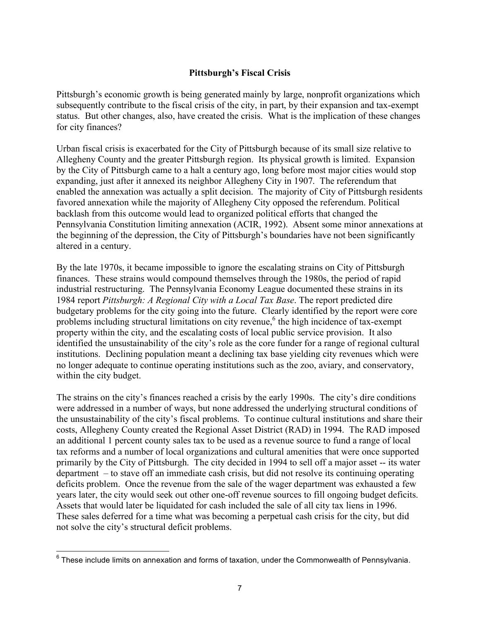# **Pittsburgh's Fiscal Crisis**

Pittsburgh's economic growth is being generated mainly by large, nonprofit organizations which subsequently contribute to the fiscal crisis of the city, in part, by their expansion and tax-exempt status. But other changes, also, have created the crisis. What is the implication of these changes for city finances?

Urban fiscal crisis is exacerbated for the City of Pittsburgh because of its small size relative to Allegheny County and the greater Pittsburgh region. Its physical growth is limited. Expansion by the City of Pittsburgh came to a halt a century ago, long before most major cities would stop expanding, just after it annexed its neighbor Allegheny City in 1907. The referendum that enabled the annexation was actually a split decision. The majority of City of Pittsburgh residents favored annexation while the majority of Allegheny City opposed the referendum. Political backlash from this outcome would lead to organized political efforts that changed the Pennsylvania Constitution limiting annexation (ACIR, 1992). Absent some minor annexations at the beginning of the depression, the City of Pittsburgh's boundaries have not been significantly altered in a century.

By the late 1970s, it became impossible to ignore the escalating strains on City of Pittsburgh finances. These strains would compound themselves through the 1980s, the period of rapid industrial restructuring. The Pennsylvania Economy League documented these strains in its 1984 report *Pittsburgh: A Regional City with a Local Tax Base*. The report predicted dire budgetary problems for the city going into the future. Clearly identified by the report were core problems including structural limitations on city revenue,<sup>6</sup> the high incidence of tax-exempt property within the city, and the escalating costs of local public service provision. It also identified the unsustainability of the city's role as the core funder for a range of regional cultural institutions. Declining population meant a declining tax base yielding city revenues which were no longer adequate to continue operating institutions such as the zoo, aviary, and conservatory, within the city budget.

The strains on the city's finances reached a crisis by the early 1990s. The city's dire conditions were addressed in a number of ways, but none addressed the underlying structural conditions of the unsustainability of the city's fiscal problems. To continue cultural institutions and share their costs, Allegheny County created the Regional Asset District (RAD) in 1994. The RAD imposed an additional 1 percent county sales tax to be used as a revenue source to fund a range of local tax reforms and a number of local organizations and cultural amenities that were once supported primarily by the City of Pittsburgh. The city decided in 1994 to sell off a major asset -- its water department – to stave off an immediate cash crisis, but did not resolve its continuing operating deficits problem. Once the revenue from the sale of the wager department was exhausted a few years later, the city would seek out other one-off revenue sources to fill ongoing budget deficits. Assets that would later be liquidated for cash included the sale of all city tax liens in 1996. These sales deferred for a time what was becoming a perpetual cash crisis for the city, but did not solve the city's structural deficit problems.

 $6$  These include limits on annexation and forms of taxation, under the Commonwealth of Pennsylvania.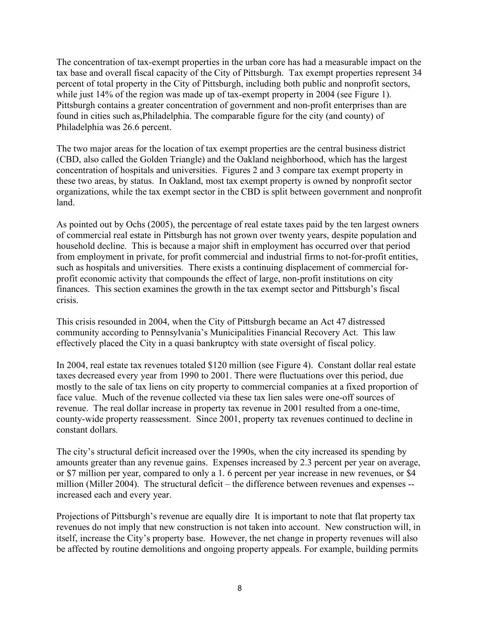The concentration of tax-exempt properties in the urban core has had a measurable impact on the tax base and overall fiscal capacity of the City of Pittsburgh. Tax exempt properties represent 34 percent of total property in the City of Pittsburgh, including both public and nonprofit sectors, while just 14% of the region was made up of tax-exempt property in 2004 (see Figure 1). Pittsburgh contains a greater concentration of government and non-profit enterprises than are found in cities such as,Philadelphia. The comparable figure for the city (and county) of Philadelphia was 26.6 percent.

The two major areas for the location of tax exempt properties are the central business district (CBD, also called the Golden Triangle) and the Oakland neighborhood, which has the largest concentration of hospitals and universities. Figures 2 and 3 compare tax exempt property in these two areas, by status. In Oakland, most tax exempt property is owned by nonprofit sector organizations, while the tax exempt sector in the CBD is split between government and nonprofit land.

As pointed out by Ochs (2005), the percentage of real estate taxes paid by the ten largest owners of commercial real estate in Pittsburgh has not grown over twenty years, despite population and household decline. This is because a major shift in employment has occurred over that period from employment in private, for profit commercial and industrial firms to not-for-profit entities, such as hospitals and universities. There exists a continuing displacement of commercial forprofit economic activity that compounds the effect of large, non-profit institutions on city finances. This section examines the growth in the tax exempt sector and Pittsburgh's fiscal crisis.

This crisis resounded in 2004, when the City of Pittsburgh became an Act 47 distressed community according to Pennsylvania's Municipalities Financial Recovery Act. This law effectively placed the City in a quasi bankruptcy with state oversight of fiscal policy.

In 2004, real estate tax revenues totaled \$120 million (see Figure 4). Constant dollar real estate taxes decreased every year from 1990 to 2001. There were fluctuations over this period, due mostly to the sale of tax liens on city property to commercial companies at a fixed proportion of face value. Much of the revenue collected via these tax lien sales were one-off sources of revenue. The real dollar increase in property tax revenue in 2001 resulted from a one-time, county-wide property reassessment. Since 2001, property tax revenues continued to decline in constant dollars.

The city's structural deficit increased over the 1990s, when the city increased its spending by amounts greater than any revenue gains. Expenses increased by 2.3 percent per year on average, or \$7 million per year, compared to only a 1. 6 percent per year increase in new revenues, or \$4 million (Miller 2004). The structural deficit – the difference between revenues and expenses - increased each and every year.

Projections of Pittsburgh's revenue are equally dire It is important to note that flat property tax revenues do not imply that new construction is not taken into account. New construction will, in itself, increase the City's property base. However, the net change in property revenues will also be affected by routine demolitions and ongoing property appeals. For example, building permits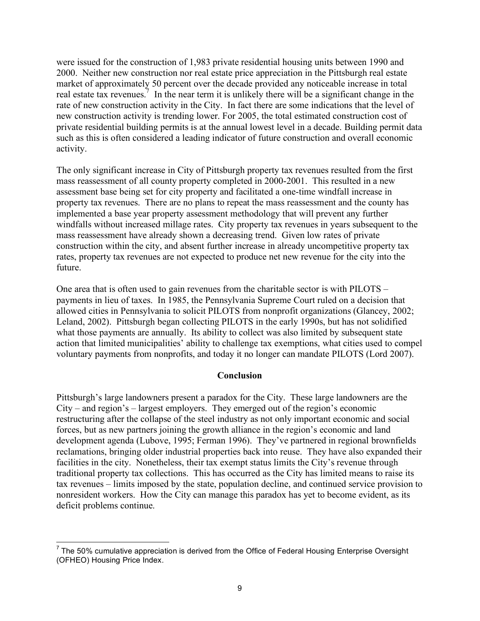were issued for the construction of 1,983 private residential housing units between 1990 and 2000. Neither new construction nor real estate price appreciation in the Pittsburgh real estate market of approximately 50 percent over the decade provided any noticeable increase in total real estate tax revenues.<sup>7</sup> In the near term it is unlikely there will be a significant change in the rate of new construction activity in the City. In fact there are some indications that the level of new construction activity is trending lower. For 2005, the total estimated construction cost of private residential building permits is at the annual lowest level in a decade. Building permit data such as this is often considered a leading indicator of future construction and overall economic activity.

The only significant increase in City of Pittsburgh property tax revenues resulted from the first mass reassessment of all county property completed in 2000-2001. This resulted in a new assessment base being set for city property and facilitated a one-time windfall increase in property tax revenues. There are no plans to repeat the mass reassessment and the county has implemented a base year property assessment methodology that will prevent any further windfalls without increased millage rates. City property tax revenues in years subsequent to the mass reassessment have already shown a decreasing trend. Given low rates of private construction within the city, and absent further increase in already uncompetitive property tax rates, property tax revenues are not expected to produce net new revenue for the city into the future.

One area that is often used to gain revenues from the charitable sector is with PILOTS – payments in lieu of taxes. In 1985, the Pennsylvania Supreme Court ruled on a decision that allowed cities in Pennsylvania to solicit PILOTS from nonprofit organizations (Glancey, 2002; Leland, 2002). Pittsburgh began collecting PILOTS in the early 1990s, but has not solidified what those payments are annually. Its ability to collect was also limited by subsequent state action that limited municipalities' ability to challenge tax exemptions, what cities used to compel voluntary payments from nonprofits, and today it no longer can mandate PILOTS (Lord 2007).

# **Conclusion**

Pittsburgh's large landowners present a paradox for the City. These large landowners are the City – and region's – largest employers. They emerged out of the region's economic restructuring after the collapse of the steel industry as not only important economic and social forces, but as new partners joining the growth alliance in the region's economic and land development agenda (Lubove, 1995; Ferman 1996). They've partnered in regional brownfields reclamations, bringing older industrial properties back into reuse. They have also expanded their facilities in the city. Nonetheless, their tax exempt status limits the City's revenue through traditional property tax collections. This has occurred as the City has limited means to raise its tax revenues – limits imposed by the state, population decline, and continued service provision to nonresident workers. How the City can manage this paradox has yet to become evident, as its deficit problems continue.

<sup>————————————————————&</sup>lt;br><sup>7</sup> The 50% cumulative appreciation is derived from the Office of Federal Housing Enterprise Oversight (OFHEO) Housing Price Index.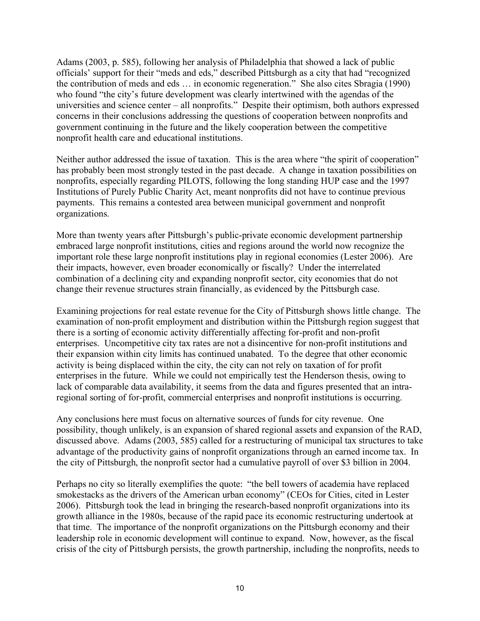Adams (2003, p. 585), following her analysis of Philadelphia that showed a lack of public officials' support for their "meds and eds," described Pittsburgh as a city that had "recognized the contribution of meds and eds … in economic regeneration." She also cites Sbragia (1990) who found "the city's future development was clearly intertwined with the agendas of the universities and science center – all nonprofits." Despite their optimism, both authors expressed concerns in their conclusions addressing the questions of cooperation between nonprofits and government continuing in the future and the likely cooperation between the competitive nonprofit health care and educational institutions.

Neither author addressed the issue of taxation. This is the area where "the spirit of cooperation" has probably been most strongly tested in the past decade. A change in taxation possibilities on nonprofits, especially regarding PILOTS, following the long standing HUP case and the 1997 Institutions of Purely Public Charity Act, meant nonprofits did not have to continue previous payments. This remains a contested area between municipal government and nonprofit organizations.

More than twenty years after Pittsburgh's public-private economic development partnership embraced large nonprofit institutions, cities and regions around the world now recognize the important role these large nonprofit institutions play in regional economies (Lester 2006). Are their impacts, however, even broader economically or fiscally? Under the interrelated combination of a declining city and expanding nonprofit sector, city economies that do not change their revenue structures strain financially, as evidenced by the Pittsburgh case.

Examining projections for real estate revenue for the City of Pittsburgh shows little change. The examination of non-profit employment and distribution within the Pittsburgh region suggest that there is a sorting of economic activity differentially affecting for-profit and non-profit enterprises. Uncompetitive city tax rates are not a disincentive for non-profit institutions and their expansion within city limits has continued unabated. To the degree that other economic activity is being displaced within the city, the city can not rely on taxation of for profit enterprises in the future. While we could not empirically test the Henderson thesis, owing to lack of comparable data availability, it seems from the data and figures presented that an intraregional sorting of for-profit, commercial enterprises and nonprofit institutions is occurring.

Any conclusions here must focus on alternative sources of funds for city revenue. One possibility, though unlikely, is an expansion of shared regional assets and expansion of the RAD, discussed above. Adams (2003, 585) called for a restructuring of municipal tax structures to take advantage of the productivity gains of nonprofit organizations through an earned income tax. In the city of Pittsburgh, the nonprofit sector had a cumulative payroll of over \$3 billion in 2004.

Perhaps no city so literally exemplifies the quote: "the bell towers of academia have replaced smokestacks as the drivers of the American urban economy" (CEOs for Cities, cited in Lester 2006). Pittsburgh took the lead in bringing the research-based nonprofit organizations into its growth alliance in the 1980s, because of the rapid pace its economic restructuring undertook at that time. The importance of the nonprofit organizations on the Pittsburgh economy and their leadership role in economic development will continue to expand. Now, however, as the fiscal crisis of the city of Pittsburgh persists, the growth partnership, including the nonprofits, needs to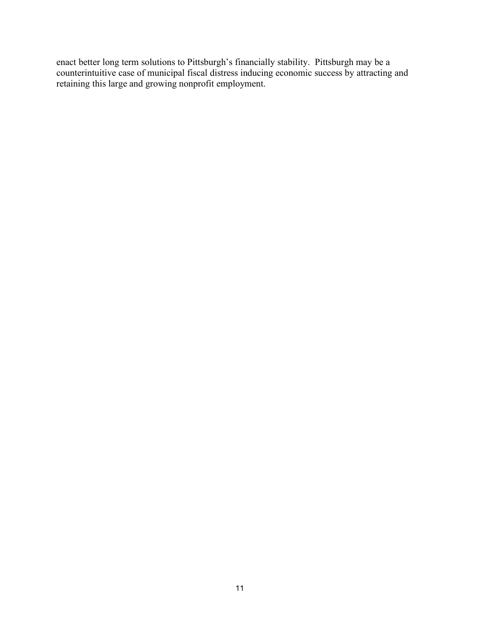enact better long term solutions to Pittsburgh's financially stability. Pittsburgh may be a counterintuitive case of municipal fiscal distress inducing economic success by attracting and retaining this large and growing nonprofit employment.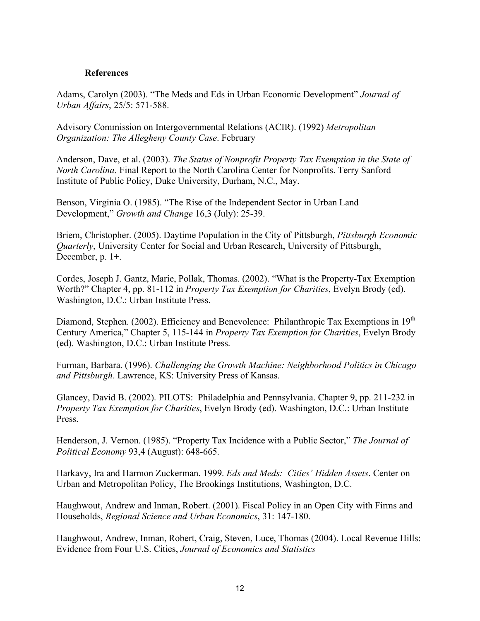#### **References**

Adams, Carolyn (2003). "The Meds and Eds in Urban Economic Development" *Journal of Urban Affairs*, 25/5: 571-588.

Advisory Commission on Intergovernmental Relations (ACIR). (1992) *Metropolitan Organization: The Allegheny County Case*. February

Anderson, Dave, et al. (2003). *The Status of Nonprofit Property Tax Exemption in the State of North Carolina*. Final Report to the North Carolina Center for Nonprofits. Terry Sanford Institute of Public Policy, Duke University, Durham, N.C., May.

Benson, Virginia O. (1985). "The Rise of the Independent Sector in Urban Land Development," *Growth and Change* 16,3 (July): 25-39.

Briem, Christopher. (2005). Daytime Population in the City of Pittsburgh, *Pittsburgh Economic Quarterly*, University Center for Social and Urban Research, University of Pittsburgh, December, p. 1+.

Cordes, Joseph J. Gantz, Marie, Pollak, Thomas. (2002). "What is the Property-Tax Exemption Worth?" Chapter 4, pp. 81-112 in *Property Tax Exemption for Charities*, Evelyn Brody (ed). Washington, D.C.: Urban Institute Press.

Diamond, Stephen. (2002). Efficiency and Benevolence: Philanthropic Tax Exemptions in 19<sup>th</sup> Century America," Chapter 5, 115-144 in *Property Tax Exemption for Charities*, Evelyn Brody (ed). Washington, D.C.: Urban Institute Press.

Furman, Barbara. (1996). *Challenging the Growth Machine: Neighborhood Politics in Chicago and Pittsburgh*. Lawrence, KS: University Press of Kansas.

Glancey, David B. (2002). PILOTS: Philadelphia and Pennsylvania. Chapter 9, pp. 211-232 in *Property Tax Exemption for Charities*, Evelyn Brody (ed). Washington, D.C.: Urban Institute Press.

Henderson, J. Vernon. (1985). "Property Tax Incidence with a Public Sector," *The Journal of Political Economy* 93,4 (August): 648-665.

Harkavy, Ira and Harmon Zuckerman. 1999. *Eds and Meds: Cities' Hidden Assets*. Center on Urban and Metropolitan Policy, The Brookings Institutions, Washington, D.C.

Haughwout, Andrew and Inman, Robert. (2001). Fiscal Policy in an Open City with Firms and Households, *Regional Science and Urban Economics*, 31: 147-180.

Haughwout, Andrew, Inman, Robert, Craig, Steven, Luce, Thomas (2004). Local Revenue Hills: Evidence from Four U.S. Cities, *Journal of Economics and Statistics*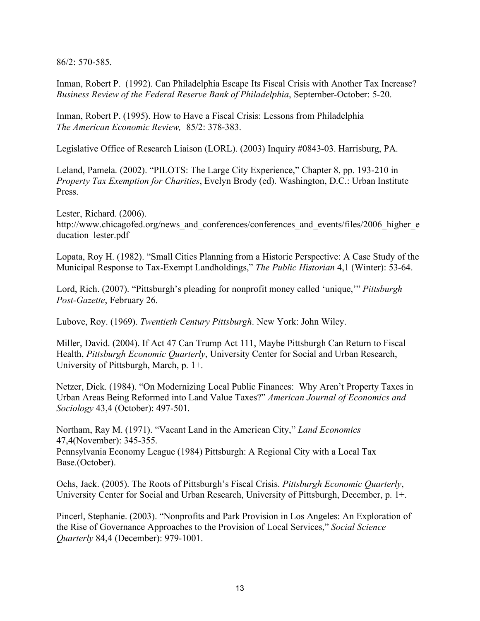86/2: 570-585.

Inman, Robert P. (1992). Can Philadelphia Escape Its Fiscal Crisis with Another Tax Increase? *Business Review of the Federal Reserve Bank of Philadelphia*, September-October: 5-20.

Inman, Robert P. (1995). How to Have a Fiscal Crisis: Lessons from Philadelphia *The American Economic Review,* 85/2: 378-383.

Legislative Office of Research Liaison (LORL). (2003) Inquiry #0843-03. Harrisburg, PA.

Leland, Pamela. (2002). "PILOTS: The Large City Experience," Chapter 8, pp. 193-210 in *Property Tax Exemption for Charities*, Evelyn Brody (ed). Washington, D.C.: Urban Institute Press.

Lester, Richard. (2006). http://www.chicagofed.org/news\_and\_conferences/conferences\_and\_events/files/2006\_higher\_e ducation lester.pdf

Lopata, Roy H. (1982). "Small Cities Planning from a Historic Perspective: A Case Study of the Municipal Response to Tax-Exempt Landholdings," *The Public Historian* 4,1 (Winter): 53-64.

Lord, Rich. (2007). "Pittsburgh's pleading for nonprofit money called 'unique,'" *Pittsburgh Post-Gazette*, February 26.

Lubove, Roy. (1969). *Twentieth Century Pittsburgh*. New York: John Wiley.

Miller, David. (2004). If Act 47 Can Trump Act 111, Maybe Pittsburgh Can Return to Fiscal Health, *Pittsburgh Economic Quarterly*, University Center for Social and Urban Research, University of Pittsburgh, March, p. 1+.

Netzer, Dick. (1984). "On Modernizing Local Public Finances: Why Aren't Property Taxes in Urban Areas Being Reformed into Land Value Taxes?" *American Journal of Economics and Sociology* 43,4 (October): 497-501.

Northam, Ray M. (1971). "Vacant Land in the American City," *Land Economics* 47,4(November): 345-355. Pennsylvania Economy League (1984) Pittsburgh: A Regional City with a Local Tax Base.(October).

Ochs, Jack. (2005). The Roots of Pittsburgh's Fiscal Crisis. *Pittsburgh Economic Quarterly*, University Center for Social and Urban Research, University of Pittsburgh, December, p. 1+.

Pincerl, Stephanie. (2003). "Nonprofits and Park Provision in Los Angeles: An Exploration of the Rise of Governance Approaches to the Provision of Local Services," *Social Science Quarterly* 84,4 (December): 979-1001.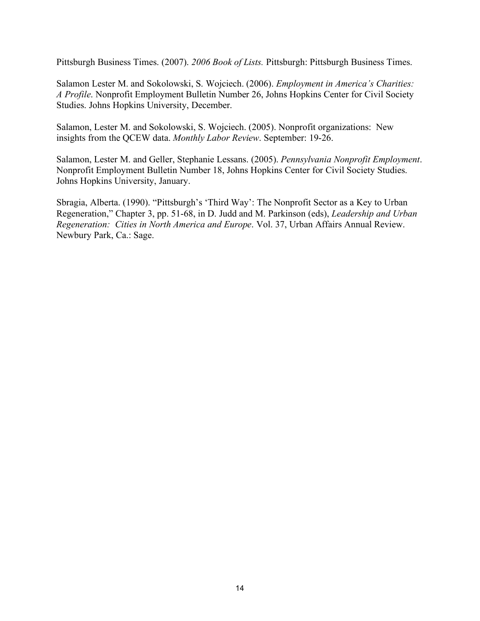Pittsburgh Business Times. (2007). *2006 Book of Lists.* Pittsburgh: Pittsburgh Business Times.

Salamon Lester M. and Sokolowski, S. Wojciech. (2006). *Employment in America's Charities: A Profile*. Nonprofit Employment Bulletin Number 26, Johns Hopkins Center for Civil Society Studies. Johns Hopkins University, December.

Salamon, Lester M. and Sokolowski, S. Wojciech. (2005). Nonprofit organizations: New insights from the QCEW data. *Monthly Labor Review*. September: 19-26.

Salamon, Lester M. and Geller, Stephanie Lessans. (2005). *Pennsylvania Nonprofit Employment*. Nonprofit Employment Bulletin Number 18, Johns Hopkins Center for Civil Society Studies. Johns Hopkins University, January.

Sbragia, Alberta. (1990). "Pittsburgh's 'Third Way': The Nonprofit Sector as a Key to Urban Regeneration," Chapter 3, pp. 51-68, in D. Judd and M. Parkinson (eds), *Leadership and Urban Regeneration: Cities in North America and Europe*. Vol. 37, Urban Affairs Annual Review. Newbury Park, Ca.: Sage.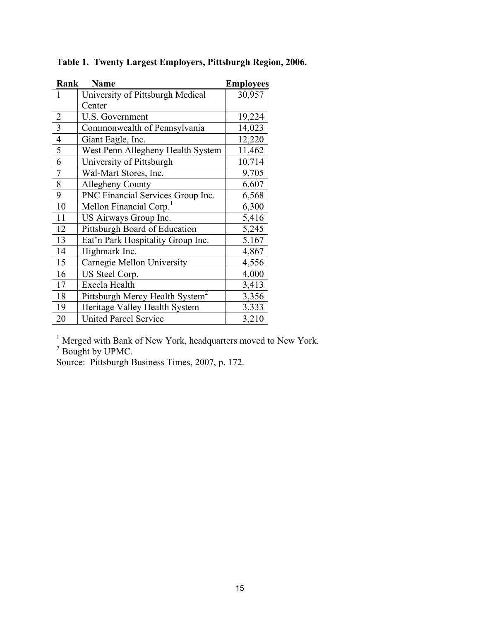| Rank                    | <b>Name</b>                                 | <b>Employees</b> |
|-------------------------|---------------------------------------------|------------------|
| 1                       | University of Pittsburgh Medical            | 30,957           |
|                         | Center                                      |                  |
| $\overline{2}$          | U.S. Government                             | 19,224           |
| $\overline{\mathbf{3}}$ | Commonwealth of Pennsylvania                | 14,023           |
| $\overline{4}$          | Giant Eagle, Inc.                           | 12,220           |
| 5                       | West Penn Allegheny Health System           | 11,462           |
| 6                       | University of Pittsburgh                    | 10,714           |
| $\overline{7}$          | Wal-Mart Stores, Inc.                       | 9,705            |
| 8                       | <b>Allegheny County</b>                     | 6,607            |
| 9                       | PNC Financial Services Group Inc.           | 6,568            |
| 10                      | Mellon Financial Corp.                      | 6,300            |
| 11                      | US Airways Group Inc.                       | 5,416            |
| 12                      | Pittsburgh Board of Education               | 5,245            |
| 13                      | Eat'n Park Hospitality Group Inc.           | 5,167            |
| 14                      | Highmark Inc.                               | 4,867            |
| 15                      | Carnegie Mellon University                  | 4,556            |
| 16                      | US Steel Corp.                              | 4,000            |
| 17                      | Excela Health                               | 3,413            |
| 18                      | Pittsburgh Mercy Health System <sup>2</sup> | 3,356            |
| 19                      | Heritage Valley Health System               | 3,333            |
| 20                      | <b>United Parcel Service</b>                | 3,210            |

**Table 1. Twenty Largest Employers, Pittsburgh Region, 2006.**

<sup>1</sup> Merged with Bank of New York, headquarters moved to New York.<sup>2</sup> Bought by UPMC.

Source: Pittsburgh Business Times, 2007, p. 172.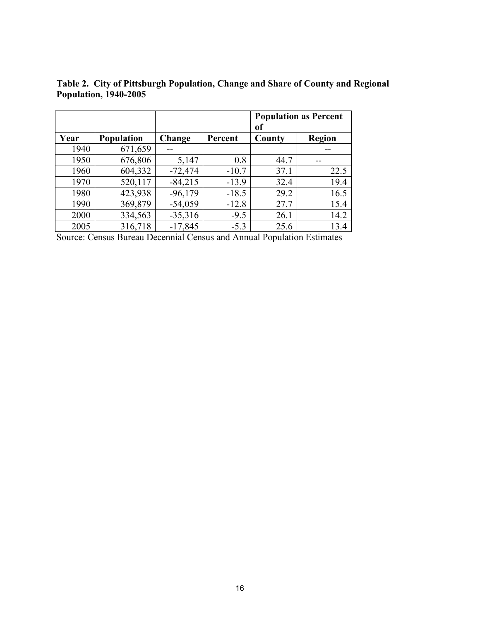|      |                   |           |         | <b>Population as Percent</b><br>оf |        |
|------|-------------------|-----------|---------|------------------------------------|--------|
| Year | <b>Population</b> | Change    | Percent | County                             | Region |
| 1940 | 671,659           |           |         |                                    |        |
| 1950 | 676,806           | 5,147     | 0.8     | 44.7                               |        |
| 1960 | 604,332           | $-72,474$ | $-10.7$ | 37.1                               | 22.5   |
| 1970 | 520,117           | $-84,215$ | $-13.9$ | 32.4                               | 19.4   |
| 1980 | 423,938           | $-96,179$ | $-18.5$ | 29.2                               | 16.5   |
| 1990 | 369,879           | $-54,059$ | $-12.8$ | 27.7                               | 15.4   |
| 2000 | 334,563           | $-35,316$ | $-9.5$  | 26.1                               | 14.2   |
| 2005 | 316,718           | $-17,845$ | $-5.3$  | 25.6                               | 13.4   |

**Table 2. City of Pittsburgh Population, Change and Share of County and Regional Population, 1940-2005**

Source: Census Bureau Decennial Census and Annual Population Estimates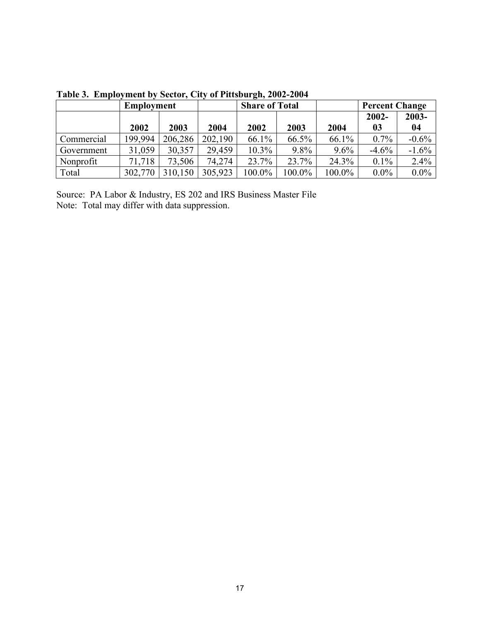|            | <b>Employment</b> |         |         | <b>Share of Total</b> |        |         | <b>Percent Change</b> |          |
|------------|-------------------|---------|---------|-----------------------|--------|---------|-----------------------|----------|
|            |                   |         |         |                       |        |         | $2002 -$              | 2003-    |
|            | 2002              | 2003    | 2004    | 2002                  | 2003   | 2004    | 03                    | 04       |
| Commercial | 199,994           | 206,286 | 202,190 | 66.1%                 | 66.5%  | 66.1%   | $0.7\%$               | $-0.6\%$ |
| Government | 31,059            | 30,357  | 29,459  | $10.3\%$              | 9.8%   | $9.6\%$ | $-4.6\%$              | $-1.6%$  |
| Nonprofit  | 71,718            | 73,506  | 74,274  | 23.7%                 | 23.7%  | 24.3%   | $0.1\%$               | $2.4\%$  |
| Total      | 302,770           | 310,150 | 305,923 | 100.0%                | 100.0% | 100.0%  | $0.0\%$               | $0.0\%$  |

**Table 3. Employment by Sector, City of Pittsburgh, 2002-2004**

Source: PA Labor & Industry, ES 202 and IRS Business Master File Note: Total may differ with data suppression.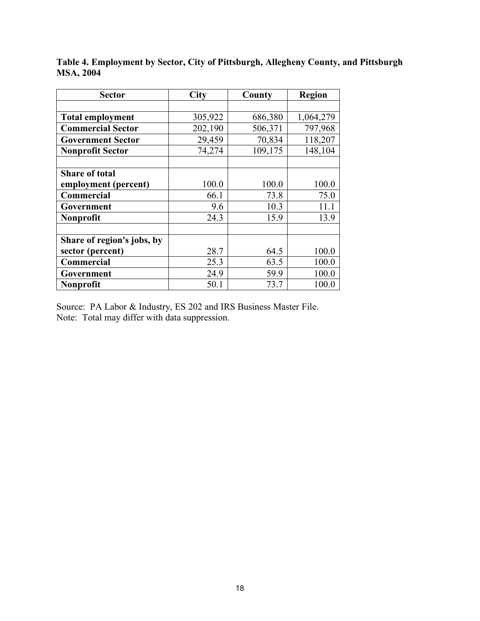| <b>Sector</b>              | <b>City</b> | County  | <b>Region</b> |
|----------------------------|-------------|---------|---------------|
|                            |             |         |               |
| <b>Total employment</b>    | 305,922     | 686,380 | 1,064,279     |
| <b>Commercial Sector</b>   | 202,190     | 506,371 | 797,968       |
| <b>Government Sector</b>   | 29,459      | 70,834  | 118,207       |
| <b>Nonprofit Sector</b>    | 74,274      | 109,175 | 148,104       |
|                            |             |         |               |
| <b>Share of total</b>      |             |         |               |
| employment (percent)       | 100.0       | 100.0   | 100.0         |
| <b>Commercial</b>          | 66.1        | 73.8    | 75.0          |
| Government                 | 9.6         | 10.3    | 11.1          |
| Nonprofit                  | 24.3        | 15.9    | 13.9          |
|                            |             |         |               |
| Share of region's jobs, by |             |         |               |
| sector (percent)           | 28.7        | 64.5    | 100.0         |
| Commercial                 | 25.3        | 63.5    | 100.0         |
| Government                 | 24.9        | 59.9    | 100.0         |
| Nonprofit                  | 50.1        | 73.7    | 100.0         |

**Table 4. Employment by Sector, City of Pittsburgh, Allegheny County, and Pittsburgh MSA, 2004**

Source: PA Labor & Industry, ES 202 and IRS Business Master File. Note: Total may differ with data suppression.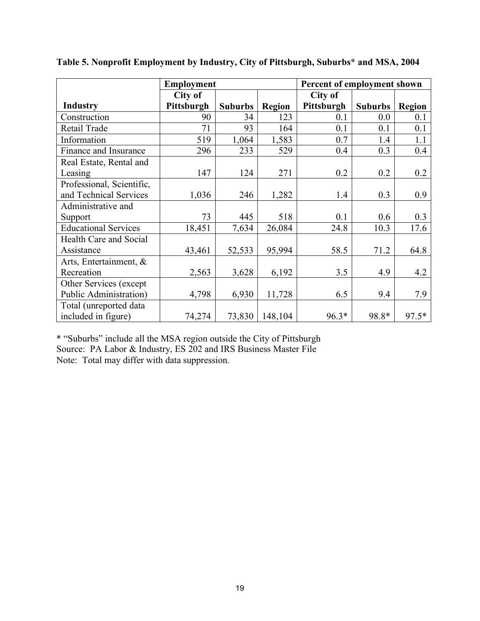|                             | <b>Employment</b> |                |               | Percent of employment shown |                |               |
|-----------------------------|-------------------|----------------|---------------|-----------------------------|----------------|---------------|
|                             | City of           |                |               | City of                     |                |               |
| <b>Industry</b>             | Pittsburgh        | <b>Suburbs</b> | <b>Region</b> | Pittsburgh                  | <b>Suburbs</b> | <b>Region</b> |
| Construction                | 90                | 34             | 123           | 0.1                         | 0.0            | 0.1           |
| Retail Trade                | 71                | 93             | 164           | 0.1                         | 0.1            | 0.1           |
| Information                 | 519               | 1,064          | 1,583         | 0.7                         | 1.4            | 1.1           |
| Finance and Insurance       | 296               | 233            | 529           | 0.4                         | 0.3            | 0.4           |
| Real Estate, Rental and     |                   |                |               |                             |                |               |
| Leasing                     | 147               | 124            | 271           | 0.2                         | 0.2            | 0.2           |
| Professional, Scientific,   |                   |                |               |                             |                |               |
| and Technical Services      | 1,036             | 246            | 1,282         | 1.4                         | 0.3            | 0.9           |
| Administrative and          |                   |                |               |                             |                |               |
| Support                     | 73                | 445            | 518           | 0.1                         | 0.6            | 0.3           |
| <b>Educational Services</b> | 18,451            | 7,634          | 26,084        | 24.8                        | 10.3           | 17.6          |
| Health Care and Social      |                   |                |               |                             |                |               |
| Assistance                  | 43,461            | 52,533         | 95,994        | 58.5                        | 71.2           | 64.8          |
| Arts, Entertainment, &      |                   |                |               |                             |                |               |
| Recreation                  | 2,563             | 3,628          | 6,192         | 3.5                         | 4.9            | 4.2           |
| Other Services (except)     |                   |                |               |                             |                |               |
| Public Administration)      | 4,798             | 6,930          | 11,728        | 6.5                         | 9.4            | 7.9           |
| Total (unreported data      |                   |                |               |                             |                |               |
| included in figure)         | 74,274            | 73,830         | 148,104       | $96.3*$                     | 98.8*          | $97.5*$       |

**Table 5. Nonprofit Employment by Industry, City of Pittsburgh, Suburbs\* and MSA, 2004**

\* "Suburbs" include all the MSA region outside the City of Pittsburgh Source: PA Labor & Industry, ES 202 and IRS Business Master File Note: Total may differ with data suppression.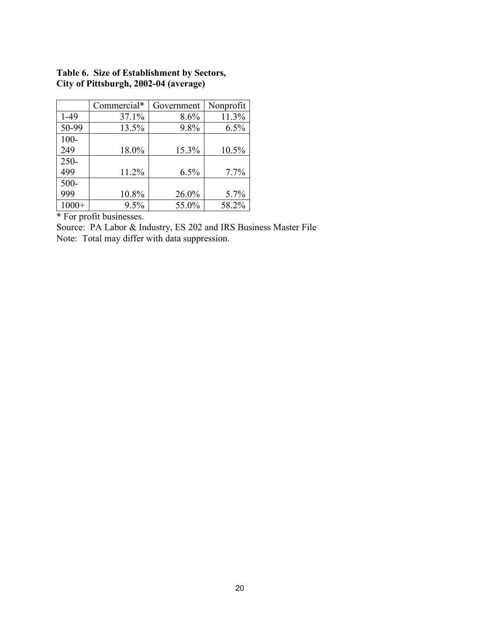|         | Commercial* | Government | Nonprofit |
|---------|-------------|------------|-----------|
| $1-49$  | 37.1%       | 8.6%       | 11.3%     |
| 50-99   | 13.5%       | 9.8%       | 6.5%      |
| $100 -$ |             |            |           |
| 249     | 18.0%       | 15.3%      | 10.5%     |
| $250 -$ |             |            |           |
| 499     | 11.2%       | 6.5%       | 7.7%      |
| $500 -$ |             |            |           |
| 999     | 10.8%       | 26.0%      | 5.7%      |
| $1000+$ | 9.5%        | 55.0%      | 58.2%     |

# **Table 6. Size of Establishment by Sectors, City of Pittsburgh, 2002-04 (average)**

\* For profit businesses.

Source: PA Labor & Industry, ES 202 and IRS Business Master File Note: Total may differ with data suppression.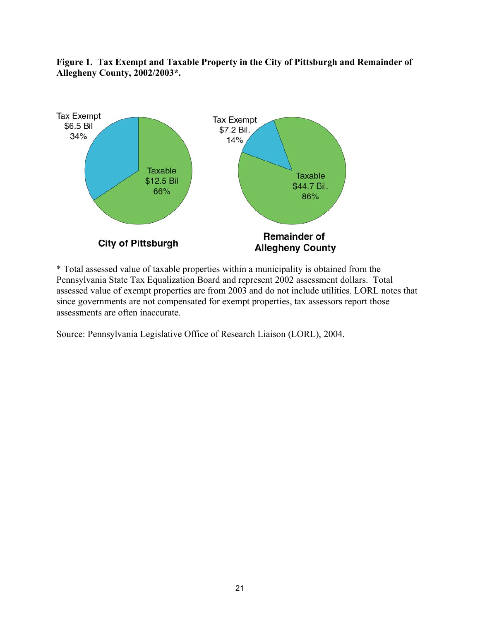

**Figure 1. Tax Exempt and Taxable Property in the City of Pittsburgh and Remainder of Allegheny County, 2002/2003\*.**

\* Total assessed value of taxable properties within a municipality is obtained from the Pennsylvania State Tax Equalization Board and represent 2002 assessment dollars. Total assessed value of exempt properties are from 2003 and do not include utilities. LORL notes that since governments are not compensated for exempt properties, tax assessors report those assessments are often inaccurate.

Source: Pennsylvania Legislative Office of Research Liaison (LORL), 2004.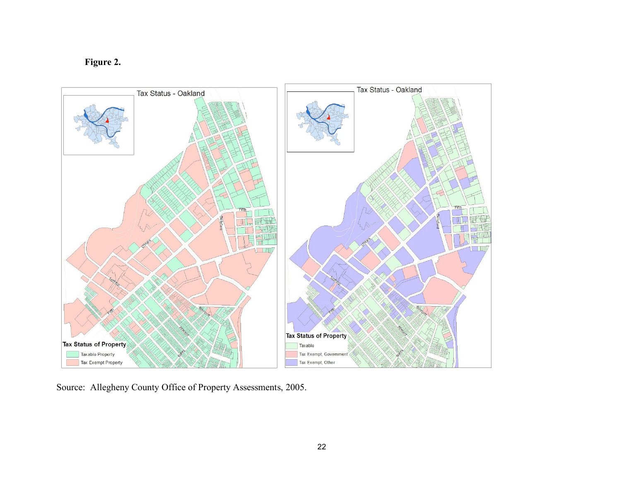**Figure 2.**



Source: Allegheny County Office of Property Assessments, 2005.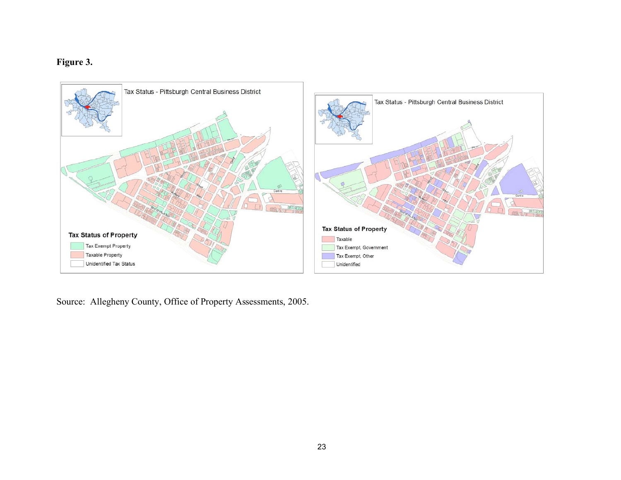# **Figure 3.**



Source: Allegheny County, Office of Property Assessments, 2005.